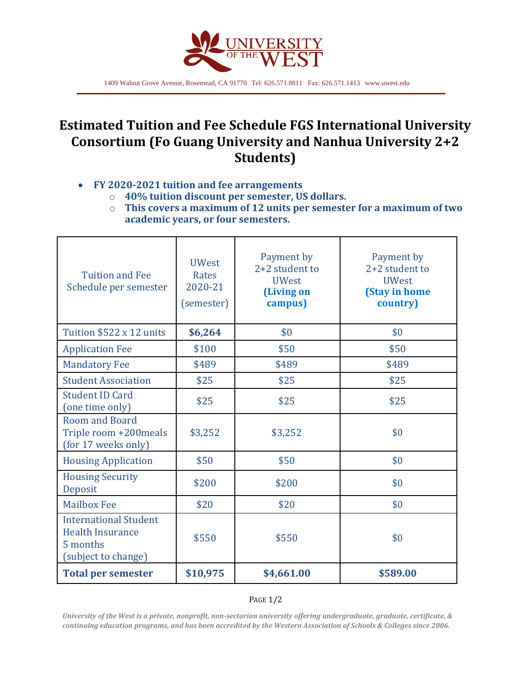

1409 Walnut Grove Avenue, Rosemead, CA 91770 Tel: 626.571.8811 Fax: 626.571.1413 www.uwest.edu

## **Estimated Tuition and Fee Schedule FGS International University Consortium (Fo Guang University and Nanhua University 2+2 Students)**

## **FY 2020-2021 tuition and fee arrangements**

- o **40% tuition discount per semester, US dollars.**
	- o **This covers a maximum of 12 units per semester for a maximum of two academic years, or four semesters.**

| <b>Tuition and Fee</b><br>Schedule per semester                                            | <b>UWest</b><br>Rates<br>2020-21<br>(semester) | Payment by<br>2+2 student to<br><b>UWest</b><br>(Living on<br>campus) | Payment by<br>2+2 student to<br><b>UWest</b><br>(Stay in home<br>country) |
|--------------------------------------------------------------------------------------------|------------------------------------------------|-----------------------------------------------------------------------|---------------------------------------------------------------------------|
| Tuition \$522 x 12 units                                                                   | \$6,264                                        | \$0                                                                   | \$0                                                                       |
| <b>Application Fee</b>                                                                     | \$100                                          | \$50                                                                  | \$50                                                                      |
| <b>Mandatory Fee</b>                                                                       | \$489                                          | \$489                                                                 | \$489                                                                     |
| <b>Student Association</b>                                                                 | \$25                                           | \$25                                                                  | \$25                                                                      |
| <b>Student ID Card</b><br>(one time only)                                                  | \$25                                           | \$25                                                                  | \$25                                                                      |
| <b>Room and Board</b><br>Triple room +200meals<br>(for 17 weeks only)                      | \$3,252                                        | \$3,252                                                               | \$0                                                                       |
| <b>Housing Application</b>                                                                 | \$50                                           | \$50                                                                  | \$0                                                                       |
| <b>Housing Security</b><br>Deposit                                                         | \$200                                          | \$200                                                                 | \$0                                                                       |
| <b>Mailbox Fee</b>                                                                         | \$20                                           | \$20                                                                  | \$0                                                                       |
| <b>International Student</b><br><b>Health Insurance</b><br>5 months<br>(subject to change) | \$550                                          | \$550                                                                 | \$0                                                                       |
| <b>Total per semester</b>                                                                  | \$10,975                                       | \$4,661.00                                                            | \$589.00                                                                  |

## PAGE 1/2

*University of the West is a private, nonprofit, non-sectarian university offering undergraduate, graduate, certificate, & continuing education programs, and has been accredited by the Western Association of Schools & Colleges since 2006.*